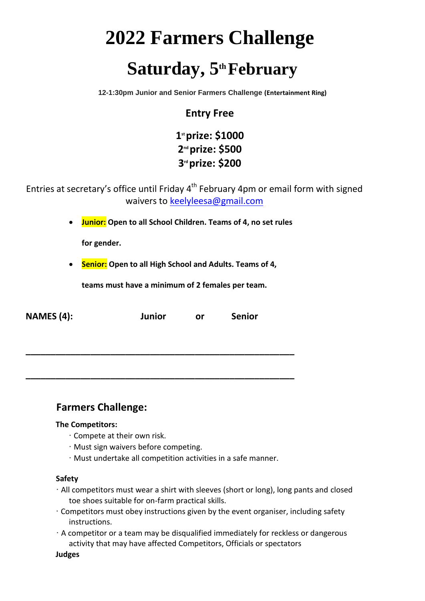# **2022 Farmers Challenge** Saturday, 5<sup>th</sup> February

**12-1:30pm Junior and Senior Farmers Challenge (Entertainment Ring)**

## **Entry Free**

**1 st prize: \$1000 2 nd prize: \$500 3 rd prize: \$200** 

Entries at secretary's office until Friday  $4<sup>th</sup>$  February 4pm or email form with signed waivers to keelyleesa@gmail.com

**Junior: Open to all School Children. Teams of 4, no set rules** 

**for gender.** 

**Senior: Open to all High School and Adults. Teams of 4,** 

**teams must have a minimum of 2 females per team.** 

| <b>NAMES (4):</b> | <b>Junior</b> | 0r | <b>Senior</b> |
|-------------------|---------------|----|---------------|
|                   |               |    |               |

**\_\_\_\_\_\_\_\_\_\_\_\_\_\_\_\_\_\_\_\_\_\_\_\_\_\_\_\_\_\_\_\_\_\_\_\_\_\_\_\_\_\_\_\_\_\_\_\_\_\_\_\_\_\_**

**\_\_\_\_\_\_\_\_\_\_\_\_\_\_\_\_\_\_\_\_\_\_\_\_\_\_\_\_\_\_\_\_\_\_\_\_\_\_\_\_\_\_\_\_\_\_\_\_\_\_\_\_\_\_**

## **Farmers Challenge:**

#### **The Competitors:**

- ∙ Compete at their own risk.
- ∙ Must sign waivers before competing.
- ∙ Must undertake all competition activities in a safe manner.

#### **Safety**

- ∙ All competitors must wear a shirt with sleeves (short or long), long pants and closed toe shoes suitable for on-farm practical skills.
- ∙ Competitors must obey instructions given by the event organiser, including safety instructions.
- ∙ A competitor or a team may be disqualified immediately for reckless or dangerous activity that may have affected Competitors, Officials or spectators

**Judges**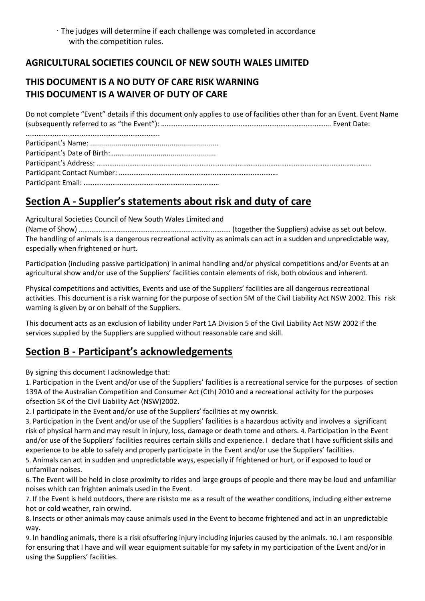## **AGRICULTURAL SOCIETIES COUNCIL OF NEW SOUTH WALES LIMITED**

## **THIS DOCUMENT IS A NO DUTY OF CARE RISK WARNING THIS DOCUMENT IS A WAIVER OF DUTY OF CARE**

Do not complete "Event" details if this document only applies to use of facilities other than for an Event. Event Name (subsequently referred to as "the Event"): …………………………………………………………………………………. Event Date:

……………………………………………………………….. Participant's Name: ................................................................. Participant's Date of Birth:…..….............................................. Participant's Address: …………………………………………………………………………………………………………………………………….. Participant Contact Number: ……………………………………………………………………………. Participant Email: …………………………………………………………………

# **Section A - Supplier's statements about risk and duty of care**

Agricultural Societies Council of New South Wales Limited and

(Name of Show) ………………………………………………………………………… (together the Suppliers) advise as set out below. The handling of animals is a dangerous recreational activity as animals can act in a sudden and unpredictable way, especially when frightened or hurt.

Participation (including passive participation) in animal handling and/or physical competitions and/or Events at an agricultural show and/or use of the Suppliers' facilities contain elements of risk, both obvious and inherent.

Physical competitions and activities, Events and use of the Suppliers' facilities are all dangerous recreational activities. This document is a risk warning for the purpose of section 5M of the Civil Liability Act NSW 2002. This risk warning is given by or on behalf of the Suppliers.

This document acts as an exclusion of liability under Part 1A Division 5 of the Civil Liability Act NSW 2002 if the services supplied by the Suppliers are supplied without reasonable care and skill.

# **Section B - Participant's acknowledgements**

By signing this document I acknowledge that:

1. Participation in the Event and/or use of the Suppliers' facilities is a recreational service for the purposes of section 139A of the Australian Competition and Consumer Act (Cth) 2010 and a recreational activity for the purposes ofsection 5K of the Civil Liability Act (NSW)2002.

2. I participate in the Event and/or use of the Suppliers' facilities at my ownrisk.

3. Participation in the Event and/or use of the Suppliers' facilities is a hazardous activity and involves a significant risk of physical harm and may result in injury, loss, damage or death tome and others. 4. Participation in the Event and/or use of the Suppliers' facilities requires certain skills and experience. I declare that I have sufficient skills and experience to be able to safely and properly participate in the Event and/or use the Suppliers' facilities.

5. Animals can act in sudden and unpredictable ways, especially if frightened or hurt, or if exposed to loud or unfamiliar noises.

6. The Event will be held in close proximity to rides and large groups of people and there may be loud and unfamiliar noises which can frighten animals used in the Event.

7. If the Event is held outdoors, there are risksto me as a result of the weather conditions, including either extreme hot or cold weather, rain orwind.

8. Insects or other animals may cause animals used in the Event to become frightened and act in an unpredictable way.

9. In handling animals, there is a risk ofsuffering injury including injuries caused by the animals. 10. I am responsible for ensuring that I have and will wear equipment suitable for my safety in my participation of the Event and/or in using the Suppliers' facilities.